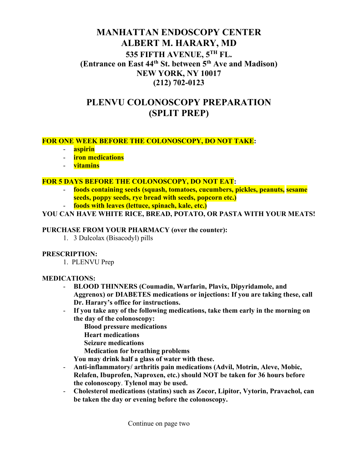# **MANHATTAN ENDOSCOPY CENTER ALBERT M. HARARY, MD 535 FIFTH AVENUE, 5TH FL. (Entrance on East 44th St. between 5th Ave and Madison) NEW YORK, NY 10017 (212) 702-0123**

# **PLENVU COLONOSCOPY PREPARATION (SPLIT PREP)**

## **FOR ONE WEEK BEFORE THE COLONOSCOPY, DO NOT TAKE:**

- **aspirin**
- **iron medications**
- **vitamins**

#### **FOR 5 DAYS BEFORE THE COLONOSCOPY, DO NOT EAT:**

- **foods containing seeds (squash, tomatoes, cucumbers, pickles, peanuts, sesame seeds, poppy seeds, rye bread with seeds, popcorn etc.)**
- **foods with leaves (lettuce, spinach, kale, etc.)**

#### **YOU CAN HAVE WHITE RICE, BREAD, POTATO, OR PASTA WITH YOUR MEATS!**

#### **PURCHASE FROM YOUR PHARMACY (over the counter):**

1. 3 Dulcolax (Bisacodyl) pills

#### **PRESCRIPTION:**

1. PLENVU Prep

#### **MEDICATIONS:**

- **BLOOD THINNERS (Coumadin, Warfarin, Plavix, Dipyridamole, and Aggrenox) or DIABETES medications or injections: If you are taking these, call Dr. Harary's office for instructions.**
- **If you take any of the following medications, take them early in the morning on the day of the colonoscopy:**
	- **Blood pressure medications**
	- **Heart medications**
	- **Seizure medications**
	- **Medication for breathing problems**

**You may drink half a glass of water with these.**

- **Anti-inflammatory/ arthritis pain medications (Advil, Motrin, Aleve, Mobic, Relafen, Ibuprofen, Naproxen, etc.) should NOT be taken for 36 hours before the colonoscopy**. **Tylenol may be used.**
- **Cholesterol medications (statins) such as Zocor, Lipitor, Vytorin, Pravachol, can be taken the day or evening before the colonoscopy.**